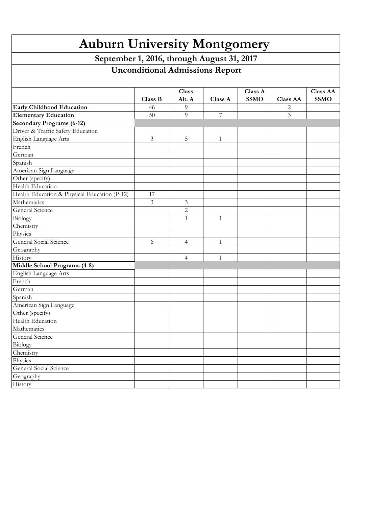| <b>Auburn University Montgomery</b><br>September 1, 2016, through August 31, 2017<br><b>Unconditional Admissions Report</b> |                |                |                |  |   |  |  |  |  |         |                        |         |                        |                 |                                |
|-----------------------------------------------------------------------------------------------------------------------------|----------------|----------------|----------------|--|---|--|--|--|--|---------|------------------------|---------|------------------------|-----------------|--------------------------------|
|                                                                                                                             |                |                |                |  |   |  |  |  |  |         |                        |         |                        |                 |                                |
|                                                                                                                             |                |                |                |  |   |  |  |  |  | Class B | <b>Class</b><br>Alt. A | Class A | Class A<br><b>SSMO</b> | <b>Class AA</b> | <b>Class AA</b><br><b>SSMO</b> |
| <b>Early Childhood Education</b>                                                                                            | 46             | 9              |                |  | 2 |  |  |  |  |         |                        |         |                        |                 |                                |
| <b>Elementary Education</b>                                                                                                 | 50             | 9              | $\overline{7}$ |  | 3 |  |  |  |  |         |                        |         |                        |                 |                                |
| <b>Secondary Programs (6-12)</b>                                                                                            |                |                |                |  |   |  |  |  |  |         |                        |         |                        |                 |                                |
| Driver & Traffic Safety Education                                                                                           |                |                |                |  |   |  |  |  |  |         |                        |         |                        |                 |                                |
| English Language Arts                                                                                                       | $\mathfrak{Z}$ | 5              | $\mathbf{1}$   |  |   |  |  |  |  |         |                        |         |                        |                 |                                |
| French                                                                                                                      |                |                |                |  |   |  |  |  |  |         |                        |         |                        |                 |                                |
| German                                                                                                                      |                |                |                |  |   |  |  |  |  |         |                        |         |                        |                 |                                |
| Spanish                                                                                                                     |                |                |                |  |   |  |  |  |  |         |                        |         |                        |                 |                                |
| American Sign Language                                                                                                      |                |                |                |  |   |  |  |  |  |         |                        |         |                        |                 |                                |
| Other (specify)                                                                                                             |                |                |                |  |   |  |  |  |  |         |                        |         |                        |                 |                                |
| Health Education                                                                                                            |                |                |                |  |   |  |  |  |  |         |                        |         |                        |                 |                                |
| Health Education & Physical Education (P-12)                                                                                | 17             |                |                |  |   |  |  |  |  |         |                        |         |                        |                 |                                |
| Mathematics                                                                                                                 | 3              | 3              |                |  |   |  |  |  |  |         |                        |         |                        |                 |                                |
| General Science                                                                                                             |                | $\overline{c}$ |                |  |   |  |  |  |  |         |                        |         |                        |                 |                                |
| Biology                                                                                                                     |                | 1              | 1              |  |   |  |  |  |  |         |                        |         |                        |                 |                                |
| Chemistry                                                                                                                   |                |                |                |  |   |  |  |  |  |         |                        |         |                        |                 |                                |
| Physics                                                                                                                     |                |                |                |  |   |  |  |  |  |         |                        |         |                        |                 |                                |
| General Social Science                                                                                                      | 6              | $\overline{4}$ | $\mathbf{1}$   |  |   |  |  |  |  |         |                        |         |                        |                 |                                |
| Geography                                                                                                                   |                |                |                |  |   |  |  |  |  |         |                        |         |                        |                 |                                |
| History                                                                                                                     |                | 4              | 1              |  |   |  |  |  |  |         |                        |         |                        |                 |                                |
| Middle School Programs (4-8)                                                                                                |                |                |                |  |   |  |  |  |  |         |                        |         |                        |                 |                                |
| English Language Arts                                                                                                       |                |                |                |  |   |  |  |  |  |         |                        |         |                        |                 |                                |
| French                                                                                                                      |                |                |                |  |   |  |  |  |  |         |                        |         |                        |                 |                                |
| German                                                                                                                      |                |                |                |  |   |  |  |  |  |         |                        |         |                        |                 |                                |
| Spanish                                                                                                                     |                |                |                |  |   |  |  |  |  |         |                        |         |                        |                 |                                |
| American Sign Language                                                                                                      |                |                |                |  |   |  |  |  |  |         |                        |         |                        |                 |                                |
| Other (specify)                                                                                                             |                |                |                |  |   |  |  |  |  |         |                        |         |                        |                 |                                |
| Health Education                                                                                                            |                |                |                |  |   |  |  |  |  |         |                        |         |                        |                 |                                |
| Mathematics                                                                                                                 |                |                |                |  |   |  |  |  |  |         |                        |         |                        |                 |                                |
| General Science                                                                                                             |                |                |                |  |   |  |  |  |  |         |                        |         |                        |                 |                                |
| Biology                                                                                                                     |                |                |                |  |   |  |  |  |  |         |                        |         |                        |                 |                                |
| Chemistry                                                                                                                   |                |                |                |  |   |  |  |  |  |         |                        |         |                        |                 |                                |
| Physics                                                                                                                     |                |                |                |  |   |  |  |  |  |         |                        |         |                        |                 |                                |
| General Social Science                                                                                                      |                |                |                |  |   |  |  |  |  |         |                        |         |                        |                 |                                |
| Geography                                                                                                                   |                |                |                |  |   |  |  |  |  |         |                        |         |                        |                 |                                |
| History                                                                                                                     |                |                |                |  |   |  |  |  |  |         |                        |         |                        |                 |                                |